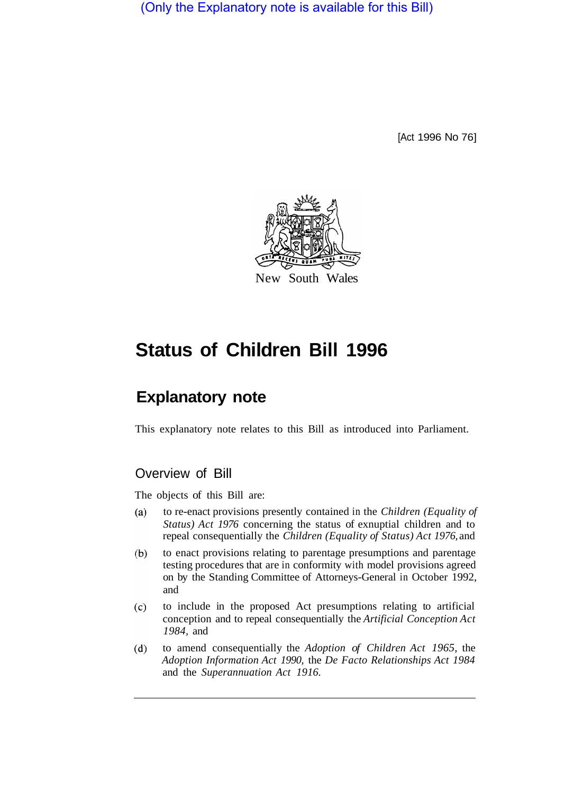(Only the Explanatory note is available for this Bill)

[Act 1996 No 76]



# **Status of Children Bill 1996**

## **Explanatory note**

This explanatory note relates to this Bill as introduced into Parliament.

### Overview of Bill

The objects of this Bill are:

- to re-enact provisions presently contained in the *Children (Equality of*   $(a)$ *Status) Act 1976* concerning the status of exnuptial children and to repeal consequentially the *Children (Equality of Status) Act 1976,* and
- $(b)$ to enact provisions relating to parentage presumptions and parentage testing procedures that are in conformity with model provisions agreed on by the Standing Committee of Attorneys-General in October 1992, and
- $(c)$ to include in the proposed Act presumptions relating to artificial conception and to repeal consequentially the *Artificial Conception Act 1984,* and
- to amend consequentially the *Adoption of Children Act 1965,* the  $(d)$ *Adoption Information Act 1990,* the *De Facto Relationships Act 1984*  and the *Superannuation Act 1916.*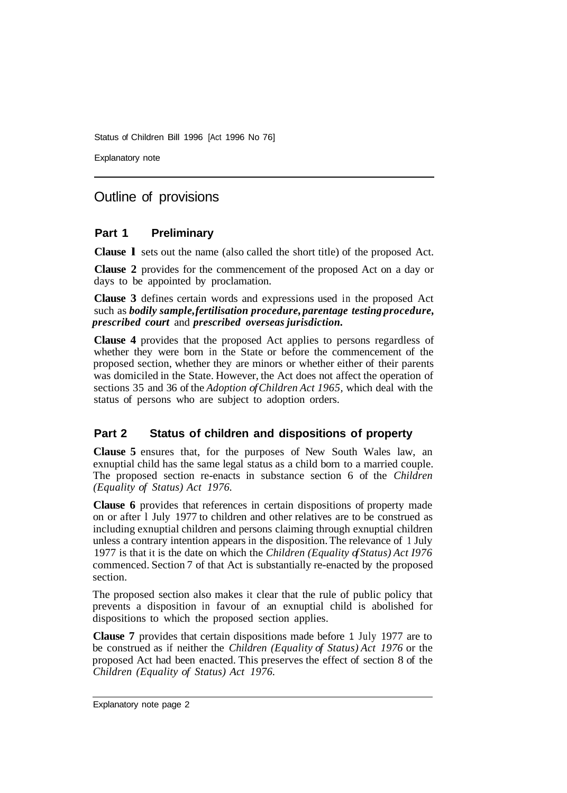Explanatory note

## Outline of provisions

#### **Part 1 Preliminary**

**Clause l** sets out the name (also called the short title) of the proposed Act.

**Clause 2** provides for the commencement of the proposed Act on a day or days to be appointed by proclamation.

**Clause 3** defines certain words and expressions used in the proposed Act such as *bodily sample, fertilisation procedure, parentage testing procedure, prescribed court* and *prescribed overseas jurisdiction.* 

**Clause 4** provides that the proposed Act applies to persons regardless of whether they were born in the State or before the commencement of the proposed section, whether they are minors or whether either of their parents was domiciled in the State. However, the Act does not affect the operation of sections 35 and 36 of the *Adoption of Children Act 1965,* which deal with the status of persons who are subject to adoption orders.

#### **Part 2 Status of children and dispositions of property**

**Clause 5** ensures that, for the purposes of New South Wales law, an exnuptial child has the same legal status as a child born to a married couple. The proposed section re-enacts in substance section 6 of the *Children (Equality of Status) Act 1976.* 

**Clause 6** provides that references in certain dispositions of property made on or after l July 1977 to children and other relatives are to be construed as including exnuptial children and persons claiming through exnuptial children unless a contrary intention appears in the disposition. The relevance of 1 July 1977 is that it is the date on which the *Children (Equality of Status) Act I976*  commenced. Section 7 of that Act is substantially re-enacted by the proposed section.

The proposed section also makes it clear that the rule of public policy that prevents a disposition in favour of an exnuptial child is abolished for dispositions to which the proposed section applies.

**Clause 7** provides that certain dispositions made before 1 July 1977 are to be construed as if neither the *Children (Equality of Status) Act 1976* or the proposed Act had been enacted. This preserves the effect of section 8 of the *Children (Equality of Status) Act 1976.*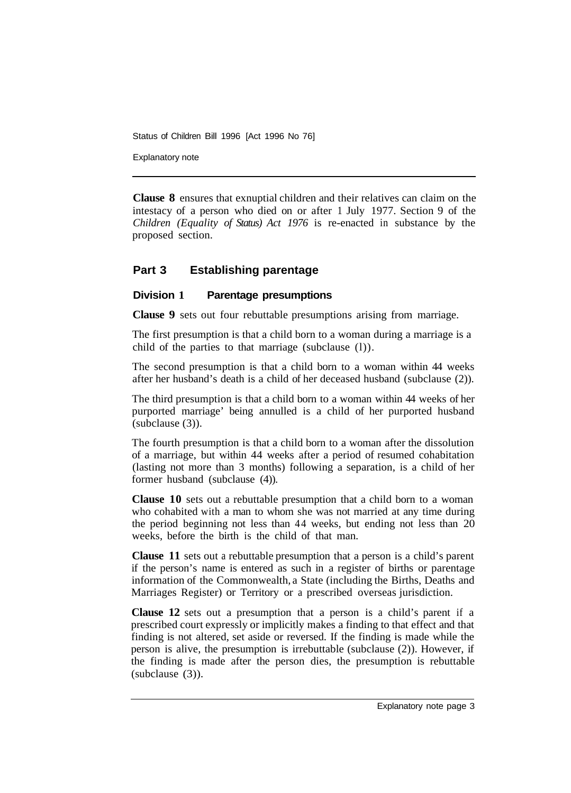Explanatory note

**Clause 8** ensures that exnuptial children and their relatives can claim on the intestacy of a person who died on or after 1 July 1977. Section 9 of the *Children (Equality of Status) Act 1976* is re-enacted in substance by the proposed section.

#### **Part 3 Establishing parentage**

#### **Division 1 Parentage presumptions**

**Clause 9** sets out four rebuttable presumptions arising from marriage.

The first presumption is that a child born to a woman during a marriage is a child of the parties to that marriage (subclause (l)).

The second presumption is that a child born to a woman within 44 weeks after her husband's death is a child of her deceased husband (subclause (2)).

The third presumption is that a child born to a woman within 44 weeks of her purported marriage' being annulled is a child of her purported husband (subclause (3)).

The fourth presumption is that a child born to a woman after the dissolution of a marriage, but within 44 weeks after a period of resumed cohabitation (lasting not more than 3 months) following a separation, is a child of her former husband (subclause (4)).

**Clause 10** sets out a rebuttable presumption that a child born to a woman who cohabited with a man to whom she was not married at any time during the period beginning not less than 44 weeks, but ending not less than 20 weeks, before the birth is the child of that man.

**Clause 11** sets out a rebuttable presumption that a person is a child's parent if the person's name is entered as such in a register of births or parentage information of the Commonwealth, a State (including the Births, Deaths and Marriages Register) or Territory or a prescribed overseas jurisdiction.

**Clause 12** sets out a presumption that a person is a child's parent if a prescribed court expressly or implicitly makes a finding to that effect and that finding is not altered, set aside or reversed. If the finding is made while the person is alive, the presumption is irrebuttable (subclause (2)). However, if the finding is made after the person dies, the presumption is rebuttable (subclause (3)).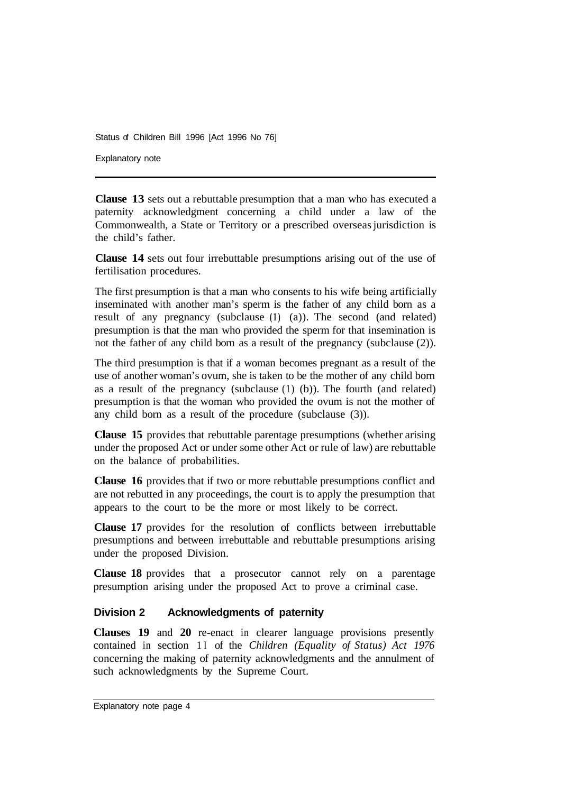Explanatory note

**Clause 13** sets out a rebuttable presumption that a man who has executed a paternity acknowledgment concerning a child under a law of the Commonwealth, a State or Territory or a prescribed overseas jurisdiction is the child's father.

**Clause 14** sets out four irrebuttable presumptions arising out of the use of fertilisation procedures.

The first presumption is that a man who consents to his wife being artificially inseminated with another man's sperm is the father of any child born as a result of any pregnancy (subclause **(1)** (a)). The second (and related) presumption is that the man who provided the sperm for that insemination is not the father of any child born as a result of the pregnancy (subclause (2)).

The third presumption is that if a woman becomes pregnant as a result of the use of another woman's ovum, she is taken to be the mother of any child born as a result of the pregnancy (subclause (1) (b)). The fourth (and related) presumption is that the woman who provided the ovum is not the mother of any child born as a result of the procedure (subclause (3)).

**Clause 15** provides that rebuttable parentage presumptions (whether arising under the proposed Act or under some other Act or rule of law) are rebuttable on the balance of probabilities.

**Clause 16** provides that if two or more rebuttable presumptions conflict and are not rebutted in any proceedings, the court is to apply the presumption that appears to the court to be the more or most likely to be correct.

**Clause 17** provides for the resolution of conflicts between irrebuttable presumptions and between irrebuttable and rebuttable presumptions arising under the proposed Division.

**Clause 18** provides that a prosecutor cannot rely on a parentage presumption arising under the proposed Act to prove a criminal case.

#### **Division 2 Acknowledgments of paternity**

**Clauses 19** and **20** re-enact in clearer language provisions presently contained in section 11 of the *Children (Equality of Status) Act 1976* concerning the making of paternity acknowledgments and the annulment of such acknowledgments by the Supreme Court.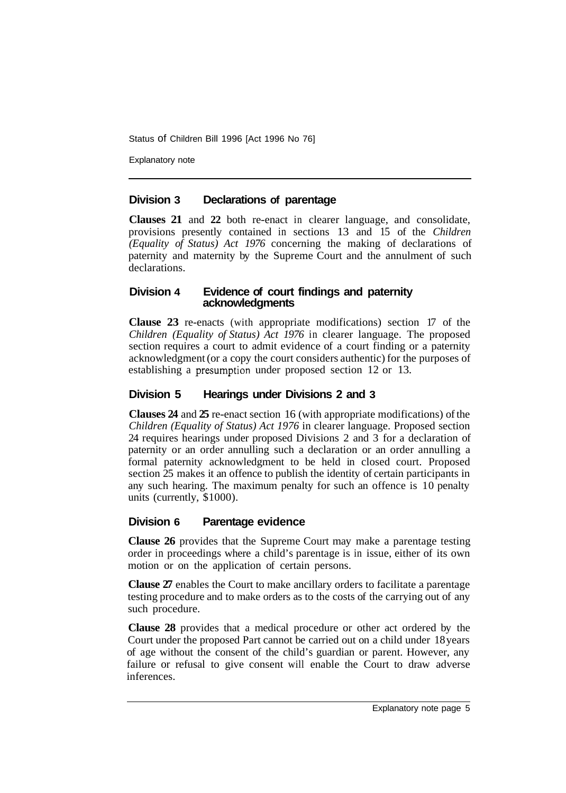Explanatory note

#### **Division 3 Declarations of parentage**

**Clauses 21** and **22** both re-enact in clearer language, and consolidate, provisions presently contained in sections 13 and 15 of the *Children (Equality of Status) Act 1976* concerning the making of declarations of paternity and maternity by the Supreme Court and the annulment of such declarations.

#### **Division 4 Evidence of court findings and paternity acknowledgments**

**Clause 23** re-enacts (with appropriate modifications) section 17 of the *Children (Equality of Status) Act 1976* in clearer language. The proposed section requires a court to admit evidence of a court finding or a paternity acknowledgment (or a copy the court considers authentic) for the purposes of establishing a presumption under proposed section 12 or 13.

#### **Division 5 Hearings under Divisions 2 and 3**

**Clauses 24** and **25** re-enact section 16 (with appropriate modifications) of the *Children (Equality of Status) Act 1976* in clearer language. Proposed section 24 requires hearings under proposed Divisions 2 and 3 for a declaration of paternity or an order annulling such a declaration or an order annulling a formal paternity acknowledgment to be held in closed court. Proposed section 25 makes it an offence to publish the identity of certain participants in any such hearing. The maximum penalty for such an offence is 10 penalty units (currently, \$1000).

#### **Division 6 Parentage evidence**

**Clause 26** provides that the Supreme Court may make a parentage testing order in proceedings where a child's parentage is in issue, either of its own motion or on the application of certain persons.

**Clause 27** enables the Court to make ancillary orders to facilitate a parentage testing procedure and to make orders as to the costs of the carrying out of any such procedure.

**Clause 28** provides that a medical procedure or other act ordered by the Court under the proposed Part cannot be carried out on a child under 18 years of age without the consent of the child's guardian or parent. However, any failure or refusal to give consent will enable the Court to draw adverse inferences.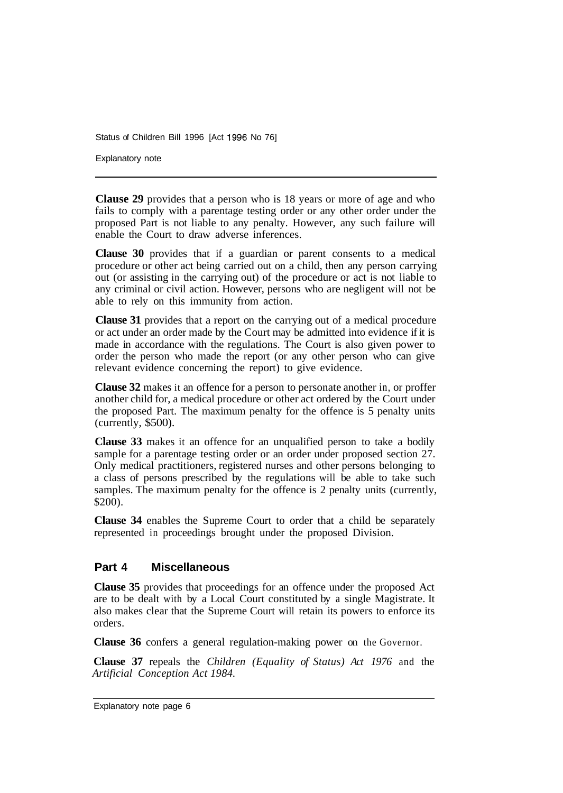Explanatory note

**Clause 29** provides that a person who is 18 years or more of age and who fails to comply with a parentage testing order or any other order under the proposed Part is not liable to any penalty. However, any such failure will enable the Court to draw adverse inferences.

**Clause 30** provides that if a guardian or parent consents to a medical procedure or other act being carried out on a child, then any person carrying out (or assisting in the carrying out) of the procedure or act is not liable to any criminal or civil action. However, persons who are negligent will not be able to rely on this immunity from action.

**Clause 31** provides that a report on the carrying out of a medical procedure or act under an order made by the Court may be admitted into evidence if it is made in accordance with the regulations. The Court is also given power to order the person who made the report (or any other person who can give relevant evidence concerning the report) to give evidence.

**Clause 32** makes it an offence for a person to personate another in, or proffer another child for, a medical procedure or other act ordered by the Court under the proposed Part. The maximum penalty for the offence is 5 penalty units (currently, \$500).

**Clause 33** makes it an offence for an unqualified person to take a bodily sample for a parentage testing order or an order under proposed section 27. Only medical practitioners, registered nurses and other persons belonging to a class of persons prescribed by the regulations will be able to take such samples. The maximum penalty for the offence is 2 penalty units (currently, \$200).

**Clause 34** enables the Supreme Court to order that a child be separately represented in proceedings brought under the proposed Division.

#### **Part 4 Miscellaneous**

**Clause 35** provides that proceedings for an offence under the proposed Act are to be dealt with by a Local Court constituted by a single Magistrate. It also makes clear that the Supreme Court will retain its powers to enforce its orders.

**Clause 36** confers a general regulation-making power on the Governor.

**Clause 37** repeals the *Children (Equality of Status) Act 1976* and the *Artificial Conception Act 1984.* 

Explanatory note page 6